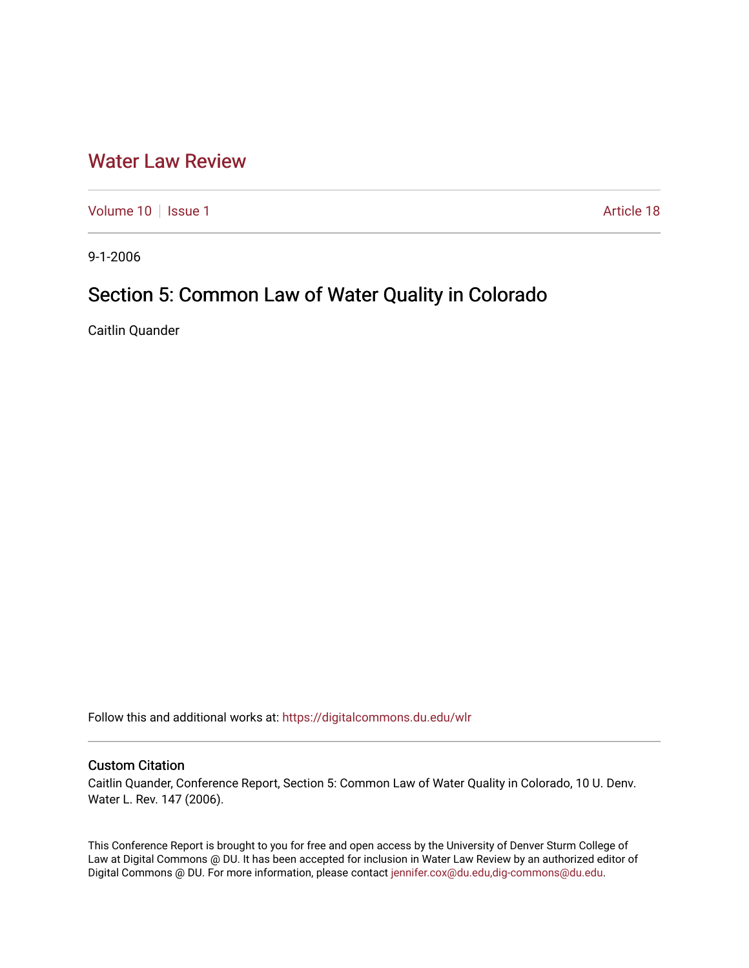## [Water Law Review](https://digitalcommons.du.edu/wlr)

[Volume 10](https://digitalcommons.du.edu/wlr/vol10) | [Issue 1](https://digitalcommons.du.edu/wlr/vol10/iss1) Article 18

9-1-2006

# Section 5: Common Law of Water Quality in Colorado

Caitlin Quander

Follow this and additional works at: [https://digitalcommons.du.edu/wlr](https://digitalcommons.du.edu/wlr?utm_source=digitalcommons.du.edu%2Fwlr%2Fvol10%2Fiss1%2F18&utm_medium=PDF&utm_campaign=PDFCoverPages) 

#### Custom Citation

Caitlin Quander, Conference Report, Section 5: Common Law of Water Quality in Colorado, 10 U. Denv. Water L. Rev. 147 (2006).

This Conference Report is brought to you for free and open access by the University of Denver Sturm College of Law at Digital Commons @ DU. It has been accepted for inclusion in Water Law Review by an authorized editor of Digital Commons @ DU. For more information, please contact [jennifer.cox@du.edu,dig-commons@du.edu](mailto:jennifer.cox@du.edu,dig-commons@du.edu).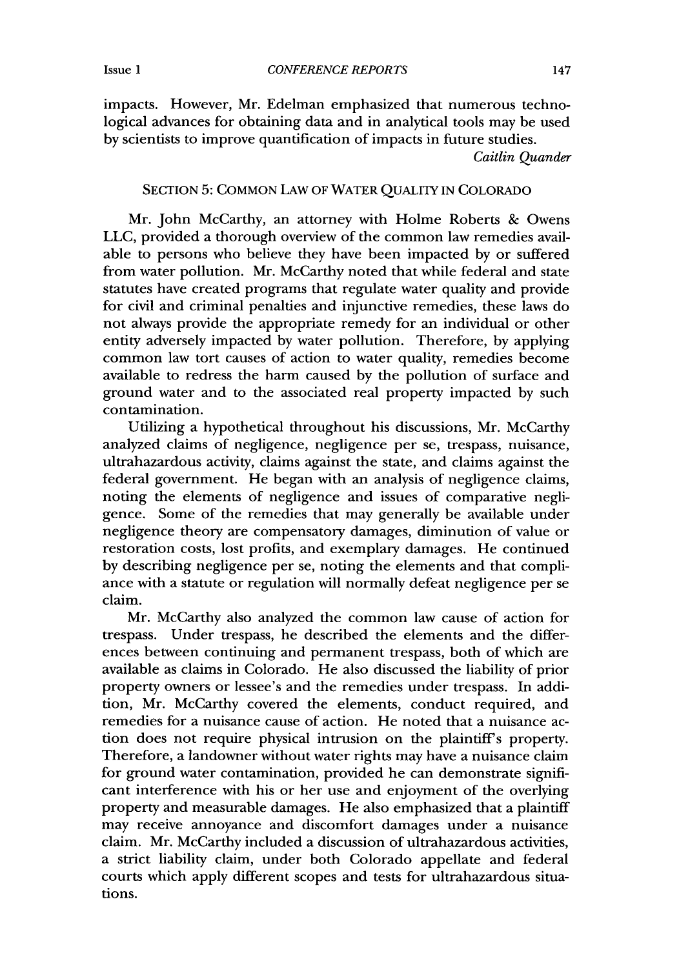*CONFERENCE REPORTS*

impacts. However, Mr. Edelman emphasized that numerous technological advances for obtaining data and in analytical tools may be used by scientists to improve quantification of impacts in future studies.

*Caitlin Quander*

#### SECTION 5: COMMON LAW OF WATER QUALITY IN COLORADO

Mr. John McCarthy, an attorney with Holme Roberts & Owens LLC, provided a thorough overview of the common law remedies available to persons who believe they have been impacted by or suffered from water pollution. Mr. McCarthy noted that while federal and state statutes have created programs that regulate water quality and provide for civil and criminal penalties and injunctive remedies, these laws do not always provide the appropriate remedy for an individual or other entity adversely impacted by water pollution. Therefore, by applying common law tort causes of action to water quality, remedies become available to redress the harm caused by the pollution of surface and ground water and to the associated real property impacted by such contamination.

Utilizing a hypothetical throughout his discussions, Mr. McCarthy analyzed claims of negligence, negligence per se, trespass, nuisance, ultrahazardous activity, claims against the state, and claims against the federal government. He began with an analysis of negligence claims, noting the elements of negligence and issues of comparative negligence. Some of the remedies that may generally be available under negligence theory are compensatory damages, diminution of value or restoration costs, lost profits, and exemplary damages. He continued by describing negligence per se, noting the elements and that compliance with a statute or regulation will normally defeat negligence per se claim.

Mr. McCarthy also analyzed the common law cause of action for trespass. Under trespass, he described the elements and the differences between continuing and permanent trespass, both of which are available as claims in Colorado. He also discussed the liability of prior property owners or lessee's and the remedies under trespass. In addition, Mr. McCarthy covered the elements, conduct required, and remedies for a nuisance cause of action. He noted that a nuisance action does not require physical intrusion on the plaintiff's property. Therefore, a landowner without water rights may have a nuisance claim for ground water contamination, provided he can demonstrate significant interference with his or her use and enjoyment of the overlying property and measurable damages. He also emphasized that a plaintiff may receive annoyance and discomfort damages under a nuisance claim. Mr. McCarthy included a discussion of ultrahazardous activities, a strict liability claim, under both Colorado appellate and federal courts which apply different scopes and tests for ultrahazardous situations.